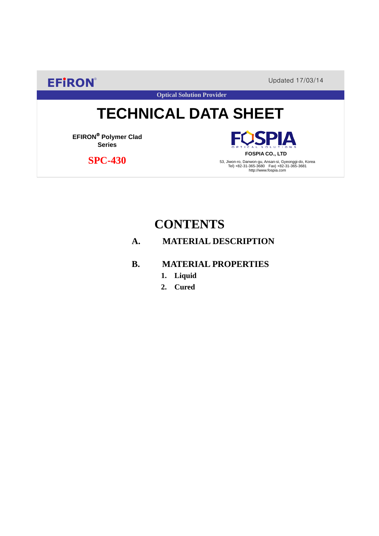**EFIRON®** Updated 17/03/14

**Optical Solution Provider**

# **TECHNICAL DATA SHEET**

**EFIRON**® **Polymer Clad Series**

 **SPC-430**

**SPIA FOSPIA CO., LTD**

53, Jiwon-ro, Danwon-gu, Ansan-si, Gyeonggi-do, Korea Tel) +82-31-365-3680 Fax) +82-31-365-3681 http://www.fospia.com

# **CONTENTS**

### **A. MATERIAL DESCRIPTION**

### **B. MATERIAL PROPERTIES**

- **1. Liquid**
- **2. Cured**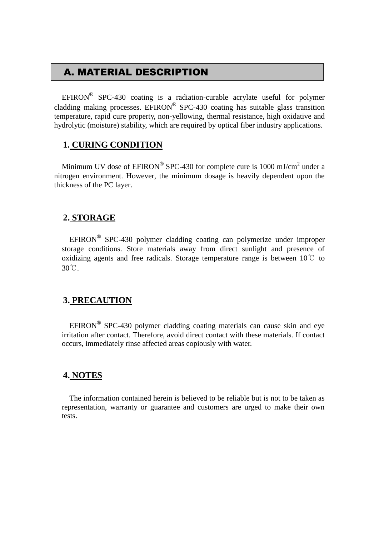## A. MATERIAL DESCRIPTION

EFIRON<sup>®</sup> SPC-430 coating is a radiation-curable acrylate useful for polymer cladding making processes. EFIRON<sup>®</sup> SPC-430 coating has suitable glass transition temperature, rapid cure property, non-yellowing, thermal resistance, high oxidative and hydrolytic (moisture) stability, which are required by optical fiber industry applications.

#### **1. CURING CONDITION**

Minimum UV dose of  $EPIRON^{\circledR}$  SPC-430 for complete cure is 1000 mJ/cm<sup>2</sup> under a nitrogen environment. However, the minimum dosage is heavily dependent upon the thickness of the PC layer.

#### **2. STORAGE**

 $EFINON^{\circledR}$  SPC-430 polymer cladding coating can polymerize under improper storage conditions. Store materials away from direct sunlight and presence of oxidizing agents and free radicals. Storage temperature range is between  $10^{\circ}$  to 30℃.

#### **3. PRECAUTION**

 $EFINON^{\circledR}$  SPC-430 polymer cladding coating materials can cause skin and eye irritation after contact. Therefore, avoid direct contact with these materials. If contact occurs, immediately rinse affected areas copiously with water.

#### **4. NOTES**

The information contained herein is believed to be reliable but is not to be taken as representation, warranty or guarantee and customers are urged to make their own tests.